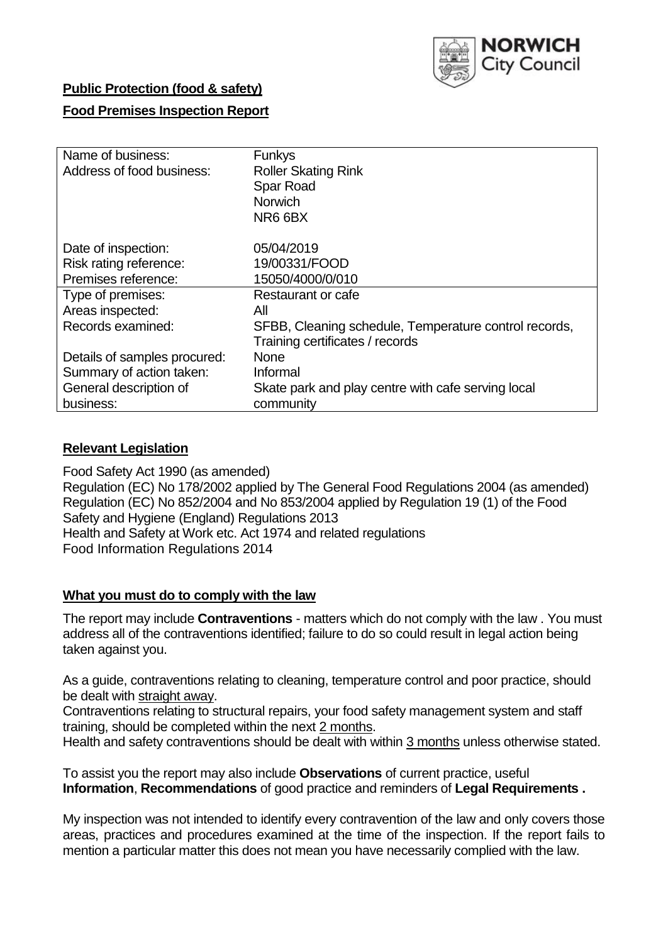

## **Public Protection (food & safety)**

## **Food Premises Inspection Report**

| Name of business:<br>Address of food business: | <b>Funkys</b><br><b>Roller Skating Rink</b><br>Spar Road<br><b>Norwich</b><br>NR6 6BX |
|------------------------------------------------|---------------------------------------------------------------------------------------|
| Date of inspection:                            | 05/04/2019                                                                            |
| Risk rating reference:                         | 19/00331/FOOD                                                                         |
| Premises reference:                            | 15050/4000/0/010                                                                      |
| Type of premises:                              | Restaurant or cafe                                                                    |
| Areas inspected:                               | All                                                                                   |
| Records examined:                              | SFBB, Cleaning schedule, Temperature control records,                                 |
|                                                | Training certificates / records                                                       |
| Details of samples procured:                   | <b>None</b>                                                                           |
| Summary of action taken:                       | Informal                                                                              |
| General description of                         | Skate park and play centre with cafe serving local                                    |
| business:                                      | community                                                                             |

### **Relevant Legislation**

Food Safety Act 1990 (as amended) Regulation (EC) No 178/2002 applied by The General Food Regulations 2004 (as amended) Regulation (EC) No 852/2004 and No 853/2004 applied by Regulation 19 (1) of the Food Safety and Hygiene (England) Regulations 2013 Health and Safety at Work etc. Act 1974 and related regulations Food Information Regulations 2014

### **What you must do to comply with the law**

The report may include **Contraventions** - matters which do not comply with the law . You must address all of the contraventions identified; failure to do so could result in legal action being taken against you.

As a guide, contraventions relating to cleaning, temperature control and poor practice, should be dealt with straight away.

Contraventions relating to structural repairs, your food safety management system and staff training, should be completed within the next 2 months.

Health and safety contraventions should be dealt with within 3 months unless otherwise stated.

To assist you the report may also include **Observations** of current practice, useful **Information**, **Recommendations** of good practice and reminders of **Legal Requirements .**

My inspection was not intended to identify every contravention of the law and only covers those areas, practices and procedures examined at the time of the inspection. If the report fails to mention a particular matter this does not mean you have necessarily complied with the law.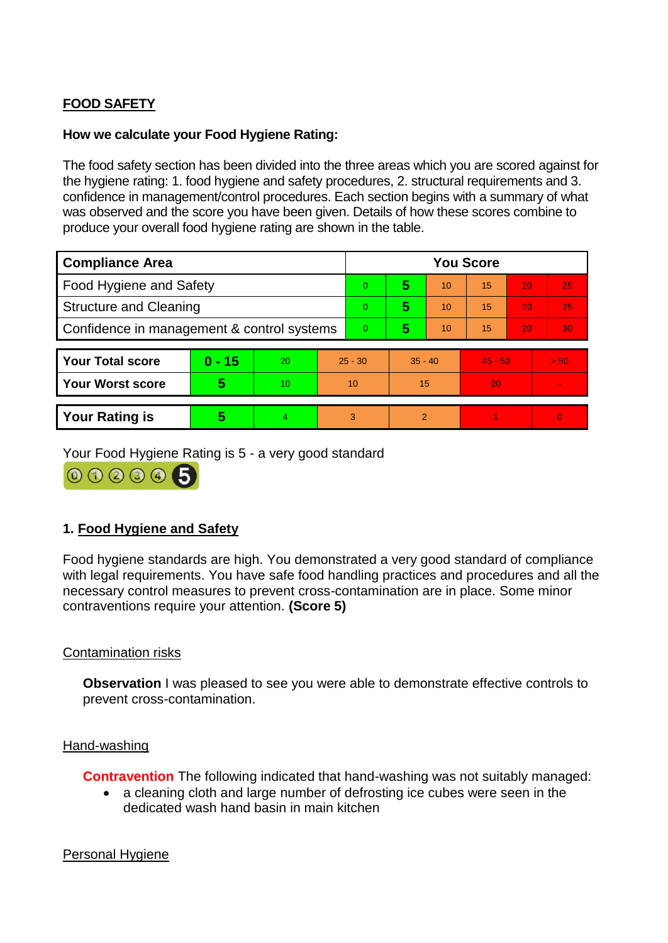# **FOOD SAFETY**

## **How we calculate your Food Hygiene Rating:**

The food safety section has been divided into the three areas which you are scored against for the hygiene rating: 1. food hygiene and safety procedures, 2. structural requirements and 3. confidence in management/control procedures. Each section begins with a summary of what was observed and the score you have been given. Details of how these scores combine to produce your overall food hygiene rating are shown in the table.

| <b>Compliance Area</b>                     |          |    |                | <b>You Score</b> |               |    |           |    |          |  |
|--------------------------------------------|----------|----|----------------|------------------|---------------|----|-----------|----|----------|--|
| Food Hygiene and Safety                    |          |    | $\Omega$       | 5                | 10            | 15 | 20        | 25 |          |  |
| <b>Structure and Cleaning</b>              |          |    | $\Omega$       | 5                | 10            | 15 | 20        | 25 |          |  |
| Confidence in management & control systems |          |    | $\overline{0}$ | 5                | 10            | 15 | 20        | 30 |          |  |
|                                            |          |    |                |                  |               |    |           |    |          |  |
| <b>Your Total score</b>                    | $0 - 15$ | 20 | $25 - 30$      |                  | $35 - 40$     |    | $45 - 50$ |    | > 50     |  |
| <b>Your Worst score</b>                    | 5        | 10 | 10             |                  | 15            |    | 20        |    |          |  |
|                                            |          |    |                |                  |               |    |           |    |          |  |
| <b>Your Rating is</b>                      | 5        |    | 3              |                  | $\mathcal{P}$ |    |           |    | $\Omega$ |  |

Your Food Hygiene Rating is 5 - a very good standard

000005

## **1. Food Hygiene and Safety**

Food hygiene standards are high. You demonstrated a very good standard of compliance with legal requirements. You have safe food handling practices and procedures and all the necessary control measures to prevent cross-contamination are in place. Some minor contraventions require your attention. **(Score 5)**

## Contamination risks

**Observation** I was pleased to see you were able to demonstrate effective controls to prevent cross-contamination.

### Hand-washing

**Contravention** The following indicated that hand-washing was not suitably managed:

 a cleaning cloth and large number of defrosting ice cubes were seen in the dedicated wash hand basin in main kitchen

### Personal Hygiene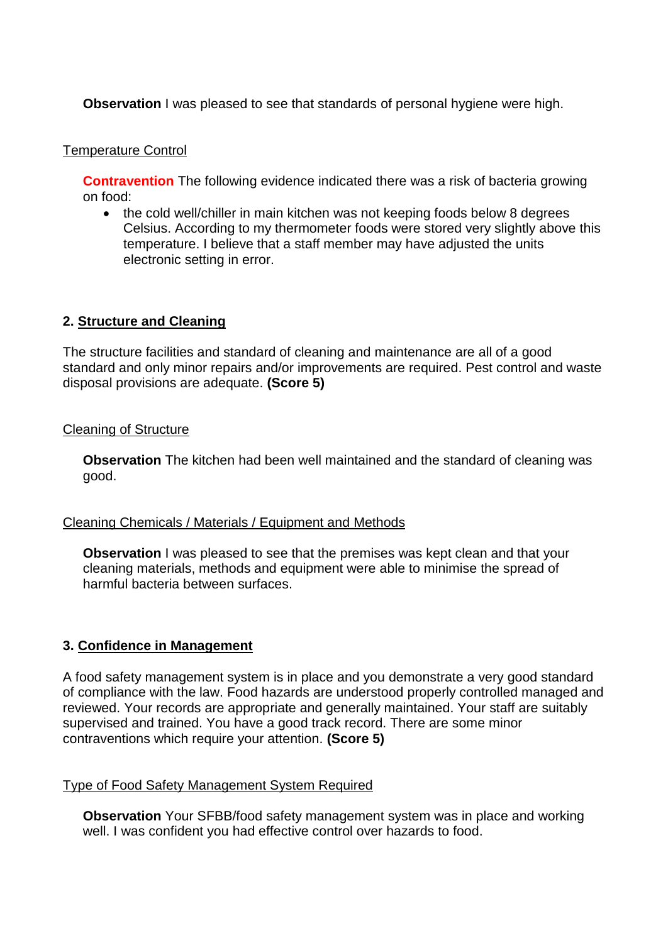**Observation** I was pleased to see that standards of personal hygiene were high.

#### Temperature Control

**Contravention** The following evidence indicated there was a risk of bacteria growing on food:

• the cold well/chiller in main kitchen was not keeping foods below 8 degrees Celsius. According to my thermometer foods were stored very slightly above this temperature. I believe that a staff member may have adjusted the units electronic setting in error.

### **2. Structure and Cleaning**

The structure facilities and standard of cleaning and maintenance are all of a good standard and only minor repairs and/or improvements are required. Pest control and waste disposal provisions are adequate. **(Score 5)**

### Cleaning of Structure

**Observation** The kitchen had been well maintained and the standard of cleaning was good.

### Cleaning Chemicals / Materials / Equipment and Methods

**Observation** I was pleased to see that the premises was kept clean and that your cleaning materials, methods and equipment were able to minimise the spread of harmful bacteria between surfaces.

### **3. Confidence in Management**

A food safety management system is in place and you demonstrate a very good standard of compliance with the law. Food hazards are understood properly controlled managed and reviewed. Your records are appropriate and generally maintained. Your staff are suitably supervised and trained. You have a good track record. There are some minor contraventions which require your attention. **(Score 5)**

### Type of Food Safety Management System Required

**Observation** Your SFBB/food safety management system was in place and working well. I was confident you had effective control over hazards to food.